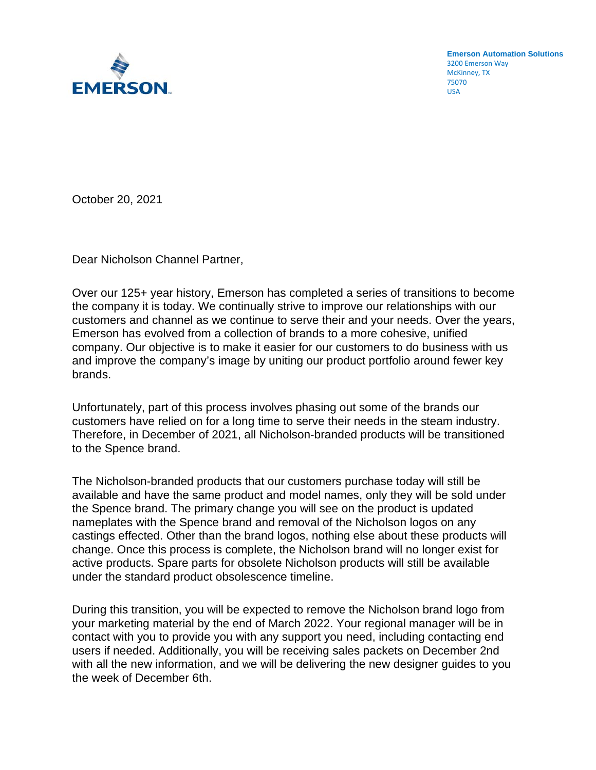

**Emerson Automation Solutions** 3200 Emerson Way McKinney, TX 75070 USA

October 20, 2021

Dear Nicholson Channel Partner,

Over our 125+ year history, Emerson has completed a series of transitions to become the company it is today. We continually strive to improve our relationships with our customers and channel as we continue to serve their and your needs. Over the years, Emerson has evolved from a collection of brands to a more cohesive, unified company. Our objective is to make it easier for our customers to do business with us and improve the company's image by uniting our product portfolio around fewer key brands.

Unfortunately, part of this process involves phasing out some of the brands our customers have relied on for a long time to serve their needs in the steam industry. Therefore, in December of 2021, all Nicholson-branded products will be transitioned to the Spence brand.

The Nicholson-branded products that our customers purchase today will still be available and have the same product and model names, only they will be sold under the Spence brand. The primary change you will see on the product is updated nameplates with the Spence brand and removal of the Nicholson logos on any castings effected. Other than the brand logos, nothing else about these products will change. Once this process is complete, the Nicholson brand will no longer exist for active products. Spare parts for obsolete Nicholson products will still be available under the standard product obsolescence timeline.

During this transition, you will be expected to remove the Nicholson brand logo from your marketing material by the end of March 2022. Your regional manager will be in contact with you to provide you with any support you need, including contacting end users if needed. Additionally, you will be receiving sales packets on December 2nd with all the new information, and we will be delivering the new designer guides to you the week of December 6th.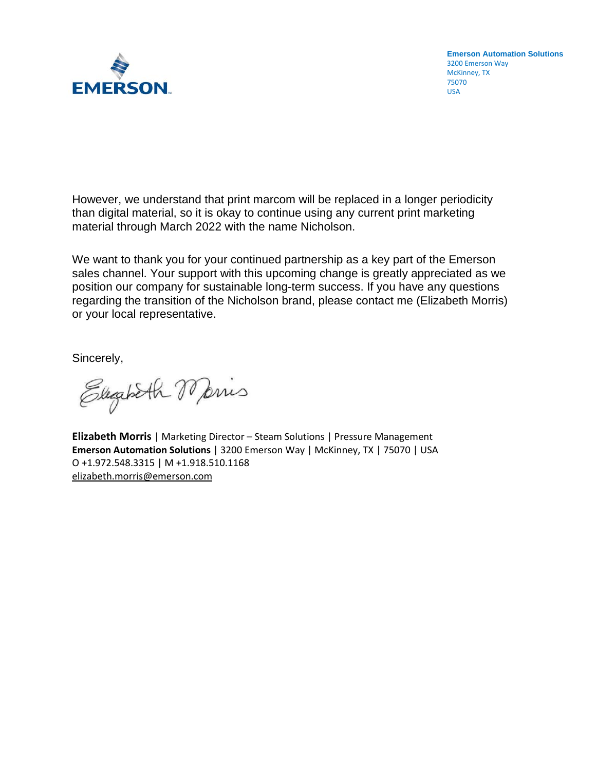

**Emerson Automation Solutions** 3200 Emerson Way McKinney, TX 75070 USA

However, we understand that print marcom will be replaced in a longer periodicity than digital material, so it is okay to continue using any current print marketing material through March 2022 with the name Nicholson.

We want to thank you for your continued partnership as a key part of the Emerson sales channel. Your support with this upcoming change is greatly appreciated as we position our company for sustainable long-term success. If you have any questions regarding the transition of the Nicholson brand, please contact me (Elizabeth Morris) or your local representative.

Sincerely,

Elegabeth Maris

**Elizabeth Morris** | Marketing Director – Steam Solutions | Pressure Management **Emerson Automation Solutions** | 3200 Emerson Way | McKinney, TX | 75070 | USA O +1.972.548.3315 | M +1.918.510.1168 [elizabeth.morris@emerson.com](mailto:elizabeth.morris@emerson.com)